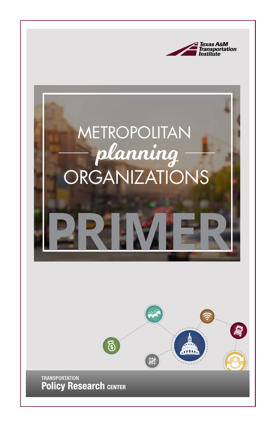

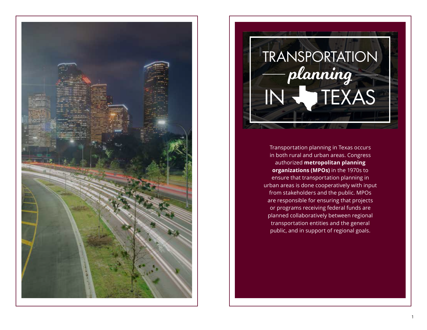

# TRANSPORTATION IN WIEXAS planning

Transportation planning in Texas occurs in both rural and urban areas. Congress authorized **metropolitan planning organizations (MPOs)** in the 1970s to ensure that transportation planning in urban areas is done cooperatively with input from stakeholders and the public. MPOs are responsible for ensuring that projects or programs receiving federal funds are planned collaboratively between regional transportation entities and the general public, and in support of regional goals.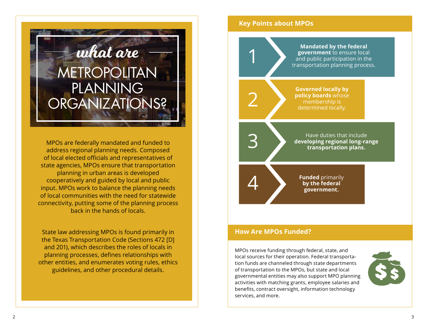

MPOs are federally mandated and funded to address regional planning needs. Composed of local elected officials and representatives of state agencies, MPOs ensure that transportation planning in urban areas is developed cooperatively and guided by local and public input. MPOs work to balance the planning needs of local communities with the need for statewide connectivity, putting some of the planning process back in the hands of locals.

State law addressing MPOs is found primarily in the Texas Transportation Code (Sections 472 [D] and 201), which describes the roles of locals in planning processes, defines relationships with other entities, and enumerates voting rules, ethics guidelines, and other procedural details.

# **Key Points about MPOs**



# **How Are MPOs Funded?**

MPOs receive funding through federal, state, and local sources for their operation. Federal transportation funds are channeled through state departments of transportation to the MPOs, but state and local governmental entities may also support MPO planning activities with matching grants, employee salaries and benefits, contract oversight, information technology services, and more.

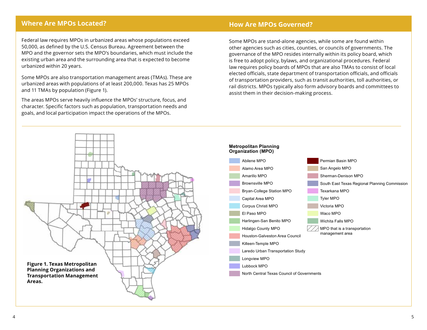# **Where Are MPOs Located?**

Federal law requires MPOs in urbanized areas whose populations exceed 50,000, as defined by the U.S. Census Bureau. Agreement between the MPO and the governor sets the MPO's boundaries, which must include the existing urban area and the surrounding area that is expected to become urbanized within 20 years.

Some MPOs are also transportation management areas (TMAs). These are urbanized areas with populations of at least 200,000. Texas has 25 MPOs and 11 TMAs by population ([Figure 1\)](#page-3-0).

The areas MPOs serve heavily influence the MPOs' structure, focus, and character. Specific factors such as population, transportation needs and goals, and local participation impact the operations of the MPOs.

#### **Metropolitan Planning How Are MPOs Governed?**

Some MPOs are stand-alone agencies, while some are found within other agencies such as cities, counties, or councils of governments. The governance of the MPO resides internally within its policy board, which brice to dubpt policy, bylaws, and organizational procedures: I ederal<br>law requires policy boards of MPOs that are also TMAs to consist of local elected officials, state department of transportation officials, and officials of transportation providers, such as transit authorities, toll authorities, or rail districts. MPOs typically also form advisory boards and committees to assist them in their decision-making process. is free to adopt policy, bylaws, and organizational procedures. Federal

**Organization (MPO)**

<span id="page-3-0"></span>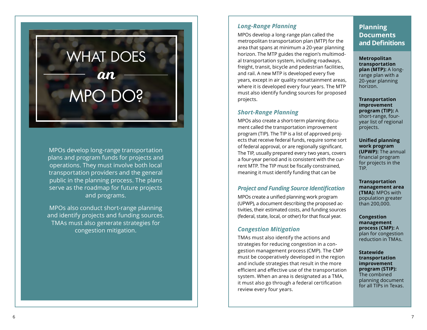# WHAT DOES MPO DO? an

MPOs develop long-range transportation plans and program funds for projects and operations. They must involve both local transportation providers and the general public in the planning process. The plans serve as the roadmap for future projects and programs.

MPOs also conduct short-range planning and identify projects and funding sources. TMAs must also generate strategies for congestion mitigation.

# *Long-Range Planning*

MPOs develop a long-range plan called the metropolitan transportation plan (MTP) for the area that spans at minimum a 20-year planning horizon. The MTP guides the region's multimod al transportation system, including roadways, freight, transit, bicycle and pedestrian facilities, and rail. A new MTP is developed every five years, except in air quality nonattainment areas, where it is developed every four years. The MTP must also identify funding sources for proposed projects.

# *Short-Range Planning*

MPOs also create a short-term planning docu ment called the transportation improvement program (TIP). The TIP is a list of approved proj ects that receive federal funds, require some sort of federal approval, or are regionally significant. The TIP, usually prepared every two years, covers a four-year period and is consistent with the current MTP. The TIP must be fiscally constrained, meaning it must identify funding that can be

# *Project and Funding Source Identification*

MPOs create a unified planning work program (UPWP), a document describing the proposed activities, their estimated costs, and funding sources (federal, state, local, or other) for that fiscal year.

# *Congestion Mitigation*

TMAs must also identify the actions and strategies for reducing congestion in a con gestion management process (CMP). The CMP must be cooperatively developed in the region and include strategies that result in the more efficient and effective use of the transportation system. When an area is designated as a TMA, it must also go through a federal certification review every four years.

# **Planning Documents and Definitions**

**Metropolitan transportation plan (MTP):** A longrange plan with a 20-year planning horizon.

**Transportation improvement program (TIP):** A short-range, fouryear list of regional projects.

**Unified planning work program (UPWP):** The annual financial program for projects in the TIP.

**Transportation management area (TMA):** MPOs with population greater than 200,000.

**Congestion management process (CMP):** A plan for congestion reduction in TMAs.

**Statewide transportation improvement program (STIP):**  The combined planning document for all TIPs in Texas.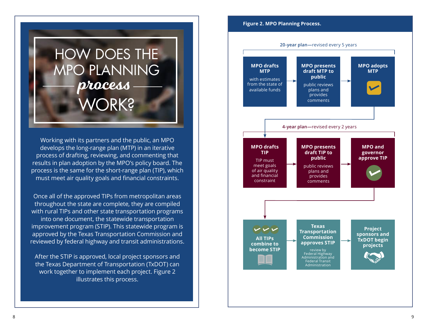

Working with its partners and the public, an MPO develops the long-range plan (MTP) in an iterative process of drafting, reviewing, and commenting that results in plan adoption by the MPO's policy board. The process is the same for the short-range plan (TIP), which must meet air quality goals and financial constraints.

Once all of the approved TIPs from metropolitan areas throughout the state are complete, they are compiled with rural TIPs and other state transportation programs into one document, the statewide transportation improvement program (STIP). This statewide program is approved by the Texas Transportation Commission and reviewed by federal highway and transit administrations.

After the STIP is approved, local project sponsors and the Texas Department of Transportation (TxDOT) can work together to implement each project. Figure 2 illustrates this process.

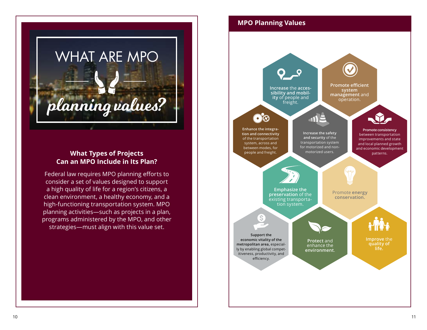

# **What Types of Projects Can an MPO Include in Its Plan?**

Federal law requires MPO planning efforts to consider a set of values designed to support a high quality of life for a region's citizens, a clean environment, a healthy economy, and a high-functioning transportation system. MPO planning activities—such as projects in a plan, programs administered by the MPO, and other strategies—must align with this value set.

# **MPO Planning Values**

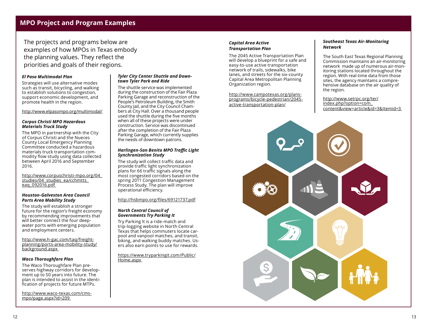# **MPO Project and Program Examples**

The projects and programs below are examples of how MPOs in Texas embody the planning values. They reflect the priorities and goals of their regions.

#### *El Paso Multimodal Plan*

Strategies will use alternative modes such as transit, bicycling, and walking to establish solutions to congestion, support economic development, and promote health in the region.

#### <http://www.elpasompo.org/multimodal/>

#### *Corpus Christi MPO Hazardous Materials Truck Study*

The MPO in partnership with the City of Corpus Christi and the Nueces County Local Emergency Planning Committee conducted a hazardous materials truck transportation commodity flow study using data collected between April 2016 and September 2016.

[http://www.corpuschristi-mpo.org/04\\_](http://www.corpuschristi-mpo.org/04_studies/04_studies_ea/cchmtts_eaq_092016.pdf) studies/04 studies ea/cchmtts eag\_092016.pdf

#### *Houston-Galveston Area Council Ports Area Mobility Study*

The study will establish a stronger future for the region's freight economy by recommending improvements that will better connect the four deepwater ports with emerging population and employment centers.

[http://www.h-gac.com/taq/freight](http://www.h-gac.com/taq/freight-planning/ports-area-mobility-study/background.aspx)[planning/ports-area-mobility-study/](http://www.h-gac.com/taq/freight-planning/ports-area-mobility-study/background.aspx) [background.aspx](http://www.h-gac.com/taq/freight-planning/ports-area-mobility-study/background.aspx) 

#### *Waco Thoroughfare Plan*

The Waco Thoroughfare Plan preserves highway corridors for development up to 50 years into future. The plan is intended to assist in the identification of projects for future MTPs.

[http://www.waco-texas.com/cms](http://www.waco-texas.com/cms-mpo/page.aspx?id=209)[mpo/page.aspx?id=209](http://www.waco-texas.com/cms-mpo/page.aspx?id=209) 

#### *Tyler City Center Shuttle and Downtown Tyler Park and Ride*

The shuttle service was implemented during the construction of the Fair Plaza Parking Garage and reconstruction of the People's Petroleum Building, the Smith County Jail, and the City Council Chambers at City Hall. Over a thousand people used the shuttle during the five months when all of these projects were under construction. Service was discontinued after the completion of the Fair Plaza Parking Garage, which currently supplies the needs of downtown patrons.

#### *Harlingen-San Benito MPO Traffic Light Synchronization Study*

The study will collect traffic data and provide traffic light synchronization plans for 66 traffic signals along the most congested corridors based on the spring 2011 Congestion Management Process Study. The plan will improve operational efficiency.

<http://hsbmpo.org/files/69121737.pdf>

#### *North Central Council of Governments Try Parking It*

Try Parking It is a ride-match and trip-logging website in North Central Texas that helps commuters locate carpool and vanpool matches, and transit, biking, and walking buddy matches. Users also earn points to use for rewards.

[https://www.tryparkingit.com/Public/](https://www.tryparkingit.com/Public/Home.aspx) [Home.aspx](https://www.tryparkingit.com/Public/Home.aspx) 

#### *Capital Area Active Transportation Plan*

The 2045 Active Transportation Plan will develop a blueprint for a safe and easy-to-use active transportation network of trails, sidewalks, bike lanes, and streets for the six-county Capital Area Metropolitan Planning Organization region.

[http://www.campotexas.org/plans](http://www.campotexas.org/plans-programs/bicycle-pedestrian/2045-active-transportation-plan/)[programs/bicycle-pedestrian/2045](http://www.campotexas.org/plans-programs/bicycle-pedestrian/2045-active-transportation-plan/) [active-transportation-plan/](http://www.campotexas.org/plans-programs/bicycle-pedestrian/2045-active-transportation-plan/)

#### *Southeast Texas Air-Monitoring Network*

The South East Texas Regional Planning Commission maintains an air-monitoring network made up of numerous air-monitoring stations located throughout the region. With real-time data from those sites, the agency maintains a comprehensive database on the air quality of the region.

[http://www.setrpc.org/ter/](http://www.setrpc.org/ter/index.php?option=com_content&view=article&id=3&Itemid=3) [index.php?option=com\\_](http://www.setrpc.org/ter/index.php?option=com_content&view=article&id=3&Itemid=3) [content&view=article&id=3&Itemid=3](http://www.setrpc.org/ter/index.php?option=com_content&view=article&id=3&Itemid=3)

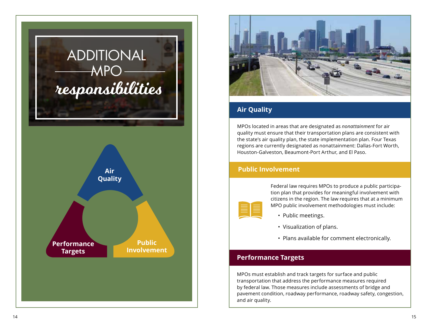



# **Air Quality**

MPOs located in areas that are designated as *nonattainment* for air quality must ensure that their transportation plans are consistent with the state's air quality plan, the state implementation plan. Four Texas regions are currently designated as nonattainment: Dallas-Fort Worth, Houston-Galveston, Beaumont-Port Arthur, and El Paso.

# **Public Involvement**



Federal law requires MPOs to produce a public participation plan that provides for meaningful involvement with citizens in the region. The law requires that at a minimum MPO public involvement methodologies must include:

- Public meetings.
- Visualization of plans.
- Plans available for comment electronically.

# **Performance Targets**

MPOs must establish and track targets for surface and public transportation that address the performance measures required by federal law. Those measures include assessments of bridge and pavement condition, roadway performance, roadway safety, congestion, and air quality.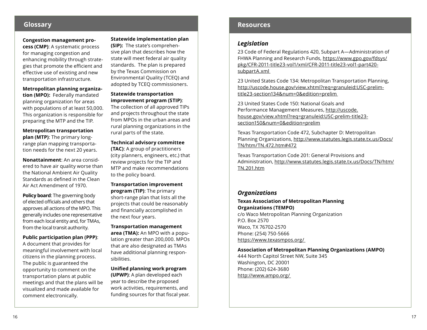## **Congestion management pro-**

**cess (CMP)**: A systematic process for managing congestion and enhancing mobility through strategies that promote the efficient and effective use of existing and new transportation infrastructure.

**Metropolitan planning organization (MPO):** Federally mandated planning organization for areas with populations of at least 50,000. This organization is responsible for preparing the MTP and the TIP.

**Metropolitan transportation plan (MTP)**: The primary longrange plan mapping transportation needs for the next 20 years.

**Nonattainment**: An area considered to have air quality worse than the National Ambient Air Quality Standards as defined in the Clean Air Act Amendment of 1970.

**Policy board**: The governing body of elected officials and others that approves all actions of the MPO. This generally includes one representative from each local entity and, for TMAs, from the local transit authority.

**Public participation plan (PPP)**:

A document that provides for meaningful involvement with local citizens in the planning process. The public is guaranteed the opportunity to comment on the transportation plans at public meetings and that the plans will be visualized and made available for comment electronically.

**Statewide implementation plan (SIP):** The state's comprehen-

sive plan that describes how the state will meet federal air quality standards. The plan is prepared by the Texas Commission on Environmental Quality (TCEQ) and adopted by TCEQ commissioners.

**Statewide transportation improvement program (STIP)**:

The collection of all approved TIPs and projects throughout the state from MPOs in the urban areas and rural planning organizations in the rural parts of the state.

**Technical advisory committee (TAC)**: A group of practitioners (city planners, engineers, etc.) that review projects for the TIP and MTP and make recommendations to the policy board.

**Transportation improvement program (TIP)**: The primary short-range plan that lists all the projects that could be reasonably and financially accomplished in the next four years.

**Transportation management area (TMA):** An MPO with a population greater than 200,000. MPOs that are also designated as TMAs have additional planning responsibilities.

**Unified planning work program (UPWP)**: A plan developed each year to describe the proposed work activities, requirements, and funding sources for that fiscal year.

# **Glossary Resources**

# *Legislation*

23 Code of Federal Regulations 420, Subpart A—Administration of FHWA Planning and Research Funds, [https://www.gpo.gov/fdsys/](https://www.gpo.gov/fdsys/pkg/CFR-2011-title23-vol1/xml/CFR-2011-title23-vol1-part420-subpartA.xml) [pkg/CFR-2011-title23-vol1/xml/CFR-2011-title23-vol1-part420](https://www.gpo.gov/fdsys/pkg/CFR-2011-title23-vol1/xml/CFR-2011-title23-vol1-part420-subpartA.xml) [subpartA.xml](https://www.gpo.gov/fdsys/pkg/CFR-2011-title23-vol1/xml/CFR-2011-title23-vol1-part420-subpartA.xml)

23 United States Code 134: Metropolitan Transportation Planning, [http://uscode.house.gov/view.xhtml?req=granuleid:USC-prelim](http://uscode.house.gov/view.xhtml?req=granuleid:USC-prelim-title23-section134&num=0&edition=prelim)[title23-section134&num=0&edition=prelim](http://uscode.house.gov/view.xhtml?req=granuleid:USC-prelim-title23-section134&num=0&edition=prelim) 

23 United States Code 150: National Goals and Performance Management Measures, [http://uscode.](http://uscode.house.gov/view.xhtml?req=granuleid:USC-prelim-title23-section150&num=0&edition=prelim) [house.gov/view.xhtml?req=granuleid:USC-prelim-title23](http://uscode.house.gov/view.xhtml?req=granuleid:USC-prelim-title23-section150&num=0&edition=prelim) [section150&num=0&edition=prelim](http://uscode.house.gov/view.xhtml?req=granuleid:USC-prelim-title23-section150&num=0&edition=prelim)

Texas Transportation Code 472, Subchapter D: Metropolitan Planning Organizations, [http://www.statutes.legis.state.tx.us/Docs/](http://www.statutes.legis.state.tx.us/Docs/TN/htm/TN.472.htm#472
) [TN/htm/TN.472.htm#472](http://www.statutes.legis.state.tx.us/Docs/TN/htm/TN.472.htm#472
)

Texas Transportation Code 201: General Provisions and Administration, [http://www.statutes.legis.state.tx.us/Docs/TN/htm/](http://www.statutes.legis.state.tx.us/Docs/TN/htm/TN.201.htm) [TN.201.htm](http://www.statutes.legis.state.tx.us/Docs/TN/htm/TN.201.htm)

# *Organizations*

### **Texas Association of Metropolitan Planning Organizations (TEMPO)**

c/o Waco Metropolitan Planning Organization P.O. Box 2570 Waco, TX 76702-2570 Phone: (254) 750-5666 <https://www.texasmpos.org/>

**Association of Metropolitan Planning Organizations (AMPO)**

444 North Capitol Street NW, Suite 345 Washington, DC 20001 Phone: (202) 624-3680 <http://www.ampo.org/>